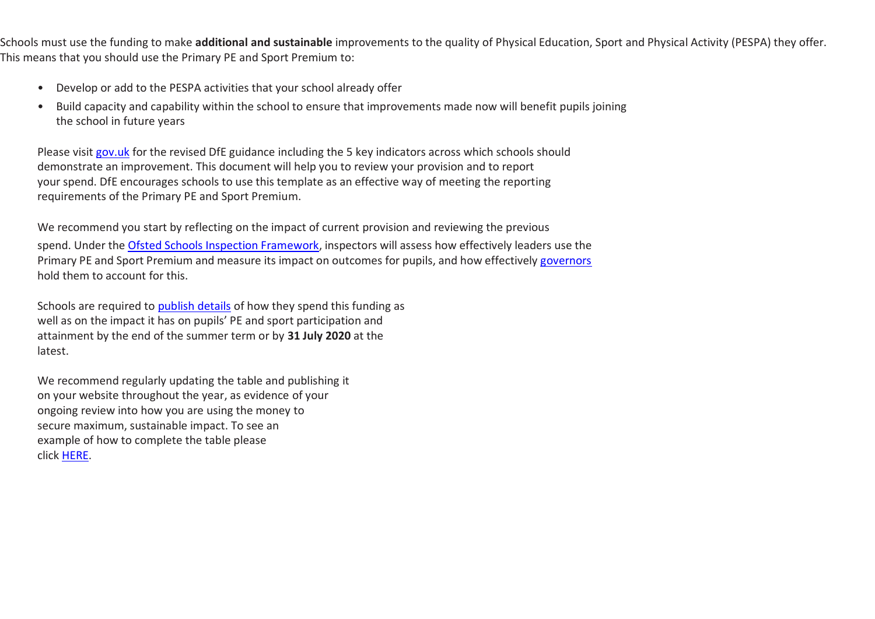Schools must use the funding to make **additional and sustainable** improvements to the quality of Physical Education, Sport and Physical Activity (PESPA) they offer. This means that you should use the Primary PE and Sport Premium to:

- Develop or add to the PESPA activities that your school already offer
- Build capacity and capability within the school to ensure that improvements made now will benefit pupils joining the school in future years

Please visit [gov.uk](https://www.gov.uk/guidance/pe-and-sport-premium-for-primary-schools) for the revised DfE guidance including the 5 key indicators across which schools should demonstrate an improvement. This document will help you to review your provision and to report your spend. DfE encourages schools to use this template as an effective way of meeting the reporting requirements of the Primary PE and Sport Premium.

We recommend you start by reflecting on the impact of current provision and reviewing the previous spend. Under the [Ofsted Schools Inspection Framework,](https://www.gov.uk/government/publications/school-inspection-handbook-from-september-2015) inspectors will assess how effectively leaders use the Primary PE and Sport Premium and measure its impact on outcomes for pupils, and how effectively [governors](https://www.gov.uk/government/publications/governance-handbook) hold them to account for this.

Schools are required to [publish details](https://www.gov.uk/guidance/what-maintained-schools-must-publish-online#pe-and-sport-premium-for-primary-schools) of how they spend this funding as well as on the impact it has on pupils' PE and sport participation and attainment by the end of the summer term or by **31 July 2020** at the latest.

We recommend regularly updating the table and publishing it on your website throughout the year, as evidence of your ongoing review into how you are using the money to secure maximum, sustainable impact. To see an example of how to complete the table please click [HERE.](http://www.afpe.org.uk/physical-education/wp-content/uploads/afPE-Example-Template-Indicator-2018-Final.pdf)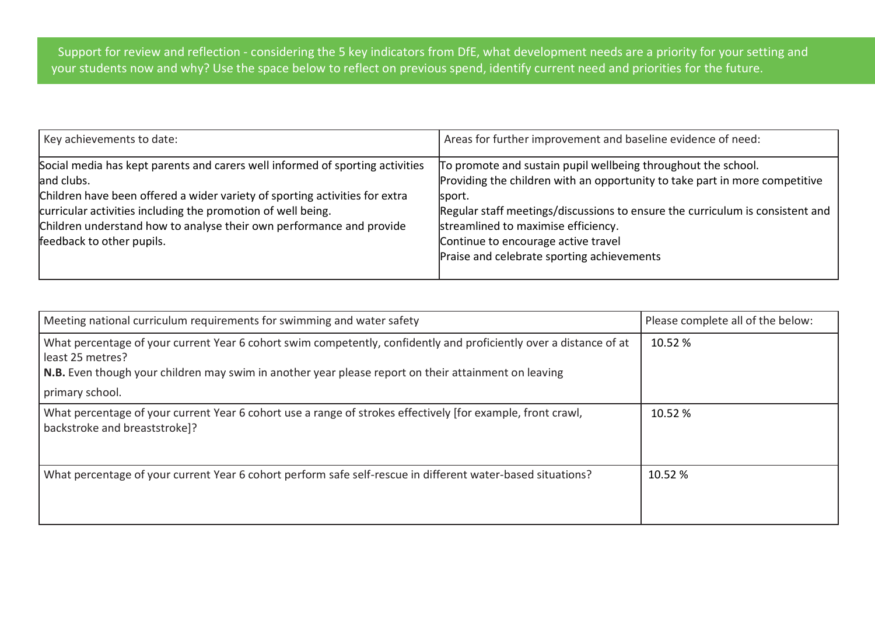Support for review and reflection - considering the 5 key indicators from DfE, what development needs are a priority for your setting and your students now and why? Use the space below to reflect on previous spend, identify current need and priorities for the future.

| To promote and sustain pupil wellbeing throughout the school.<br>Providing the children with an opportunity to take part in more competitive<br>Regular staff meetings/discussions to ensure the curriculum is consistent and<br>Praise and celebrate sporting achievements |
|-----------------------------------------------------------------------------------------------------------------------------------------------------------------------------------------------------------------------------------------------------------------------------|
|                                                                                                                                                                                                                                                                             |

| Meeting national curriculum requirements for swimming and water safety                                                                                                                                                                                            | Please complete all of the below: |
|-------------------------------------------------------------------------------------------------------------------------------------------------------------------------------------------------------------------------------------------------------------------|-----------------------------------|
| What percentage of your current Year 6 cohort swim competently, confidently and proficiently over a distance of at<br>least 25 metres?<br>N.B. Even though your children may swim in another year please report on their attainment on leaving<br>primary school. | 10.52%                            |
| What percentage of your current Year 6 cohort use a range of strokes effectively [for example, front crawl,<br>backstroke and breaststroke]?                                                                                                                      | 10.52%                            |
| What percentage of your current Year 6 cohort perform safe self-rescue in different water-based situations?                                                                                                                                                       | 10.52 %                           |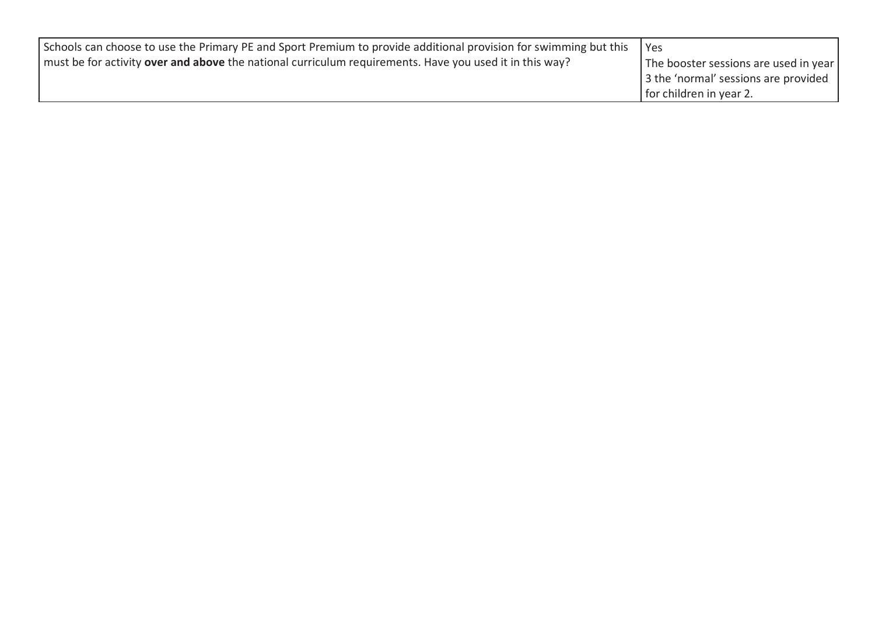| Schools can choose to use the Primary PE and Sport Premium to provide additional provision for swimming but this | l Yes                                 |
|------------------------------------------------------------------------------------------------------------------|---------------------------------------|
| must be for activity <b>over and above</b> the national curriculum requirements. Have you used it in this way?   | The booster sessions are used in year |
|                                                                                                                  | 3 the 'normal' sessions are provided  |
|                                                                                                                  | for children in year 2.               |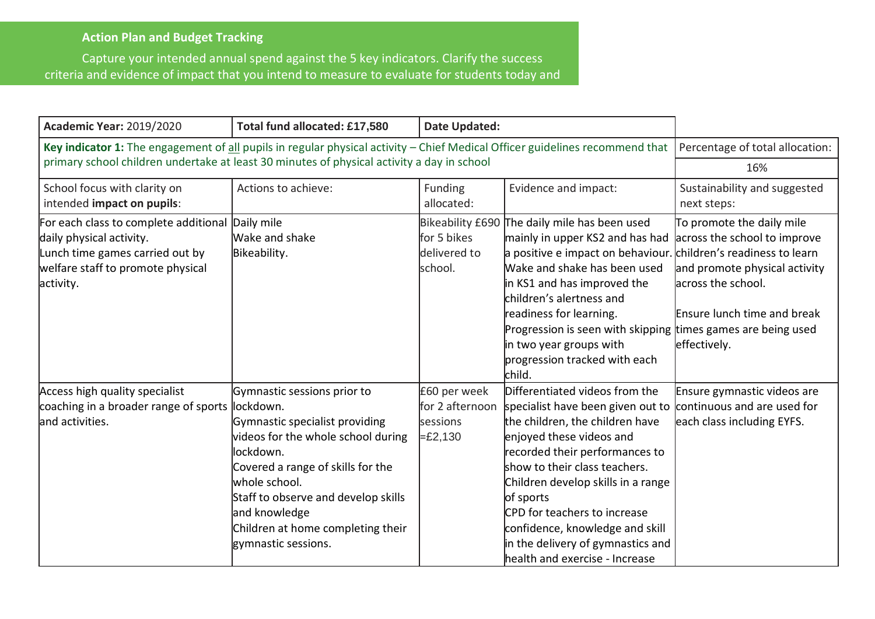## **Action Plan and Budget Tracking**

Capture your intended annual spend against the 5 key indicators. Clarify the success criteria and evidence of impact that you intend to measure to evaluate for students today and

| <b>Academic Year: 2019/2020</b>                                                                                                                        | Total fund allocated: £17,580                                                                                                                                                                                                                                                                           | <b>Date Updated:</b>                                      |                                                                                                                                                                                                                                                                                                                                                                                                                 |                                                                                                                                                                 |
|--------------------------------------------------------------------------------------------------------------------------------------------------------|---------------------------------------------------------------------------------------------------------------------------------------------------------------------------------------------------------------------------------------------------------------------------------------------------------|-----------------------------------------------------------|-----------------------------------------------------------------------------------------------------------------------------------------------------------------------------------------------------------------------------------------------------------------------------------------------------------------------------------------------------------------------------------------------------------------|-----------------------------------------------------------------------------------------------------------------------------------------------------------------|
| Key indicator 1: The engagement of all pupils in regular physical activity - Chief Medical Officer guidelines recommend that                           |                                                                                                                                                                                                                                                                                                         |                                                           |                                                                                                                                                                                                                                                                                                                                                                                                                 | Percentage of total allocation:                                                                                                                                 |
| primary school children undertake at least 30 minutes of physical activity a day in school                                                             |                                                                                                                                                                                                                                                                                                         |                                                           |                                                                                                                                                                                                                                                                                                                                                                                                                 | 16%                                                                                                                                                             |
| School focus with clarity on<br>intended impact on pupils:                                                                                             | Actions to achieve:                                                                                                                                                                                                                                                                                     | Funding<br>allocated:                                     | Evidence and impact:                                                                                                                                                                                                                                                                                                                                                                                            | Sustainability and suggested<br>next steps:                                                                                                                     |
| For each class to complete additional<br>daily physical activity.<br>Lunch time games carried out by<br>welfare staff to promote physical<br>activity. | Daily mile<br>Wake and shake<br>Bikeability.                                                                                                                                                                                                                                                            | for 5 bikes<br>delivered to<br>school.                    | Bikeability £690 The daily mile has been used<br>mainly in upper KS2 and has had<br>a positive e impact on behaviour. children's readiness to learn<br>Wake and shake has been used<br>in KS1 and has improved the<br>children's alertness and<br>readiness for learning.<br>Progression is seen with skipping times games are being used<br>in two year groups with<br>progression tracked with each<br>child. | To promote the daily mile<br>across the school to improve<br>and promote physical activity<br>across the school.<br>Ensure lunch time and break<br>effectively. |
| Access high quality specialist<br>coaching in a broader range of sports<br>land activities.                                                            | Gymnastic sessions prior to<br>lockdown.<br>Gymnastic specialist providing<br>videos for the whole school during<br>lockdown.<br>Covered a range of skills for the<br>whole school.<br>Staff to observe and develop skills<br>and knowledge<br>Children at home completing their<br>gymnastic sessions. | £60 per week<br>for 2 afternoon<br>sessions<br>$= £2,130$ | Differentiated videos from the<br>specialist have been given out to<br>the children, the children have<br>enjoyed these videos and<br>recorded their performances to<br>show to their class teachers.<br>Children develop skills in a range<br>of sports<br><b>CPD</b> for teachers to increase<br>confidence, knowledge and skill<br>in the delivery of gymnastics and<br>health and exercise - Increase       | Ensure gymnastic videos are<br>continuous and are used for<br>each class including EYFS.                                                                        |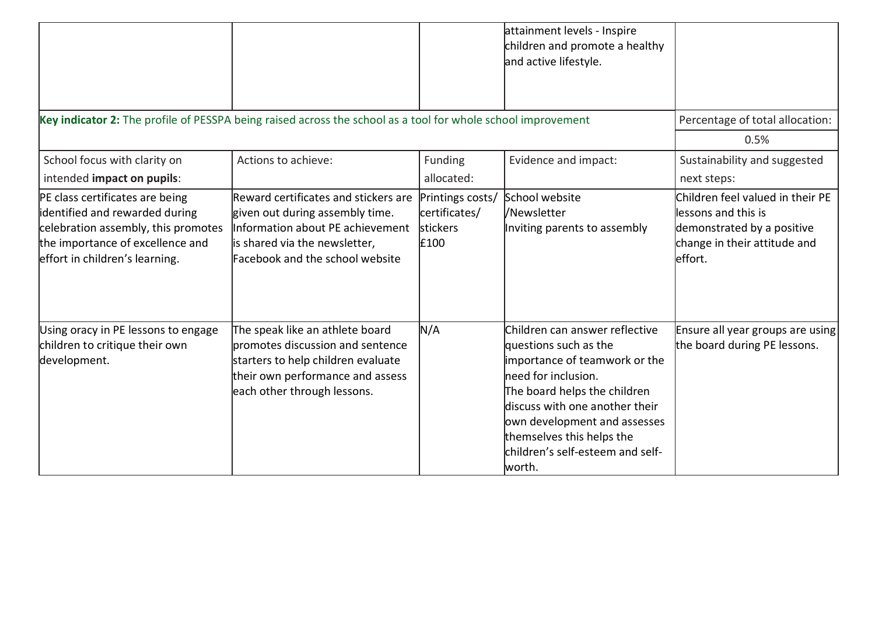|                                                                                                                                                                                |                                                                                                                                                                                 |                                                              | attainment levels - Inspire<br>children and promote a healthy<br>and active lifestyle.                                                                                                                                                                                                         |                                                                                                                                   |
|--------------------------------------------------------------------------------------------------------------------------------------------------------------------------------|---------------------------------------------------------------------------------------------------------------------------------------------------------------------------------|--------------------------------------------------------------|------------------------------------------------------------------------------------------------------------------------------------------------------------------------------------------------------------------------------------------------------------------------------------------------|-----------------------------------------------------------------------------------------------------------------------------------|
| Key indicator 2: The profile of PESSPA being raised across the school as a tool for whole school improvement                                                                   |                                                                                                                                                                                 |                                                              |                                                                                                                                                                                                                                                                                                | Percentage of total allocation:                                                                                                   |
|                                                                                                                                                                                |                                                                                                                                                                                 |                                                              |                                                                                                                                                                                                                                                                                                | 0.5%                                                                                                                              |
| School focus with clarity on<br>intended impact on pupils:                                                                                                                     | Actions to achieve:                                                                                                                                                             | Funding<br>allocated:                                        | Evidence and impact:                                                                                                                                                                                                                                                                           | Sustainability and suggested<br>next steps:                                                                                       |
| PE class certificates are being<br>identified and rewarded during<br>celebration assembly, this promotes<br>the importance of excellence and<br>effort in children's learning. | Reward certificates and stickers are<br>given out during assembly time.<br>Information about PE achievement<br>is shared via the newsletter,<br>Facebook and the school website | Printings costs/<br>certificates/<br><b>stickers</b><br>£100 | School website<br>l/Newsletter<br>Inviting parents to assembly                                                                                                                                                                                                                                 | Children feel valued in their PE<br>llessons and this is<br>demonstrated by a positive<br>change in their attitude and<br>effort. |
| Using oracy in PE lessons to engage<br>children to critique their own<br>development.                                                                                          | The speak like an athlete board<br>bromotes discussion and sentence<br>starters to help children evaluate<br>their own performance and assess<br>each other through lessons.    | N/A                                                          | Children can answer reflective<br>questions such as the<br>importance of teamwork or the<br>lneed for inclusion.<br>The board helps the children<br>discuss with one another their<br>own development and assesses<br>themselves this helps the<br>lchildren's self-esteem and self-<br>worth. | Ensure all year groups are using<br>the board during PE lessons.                                                                  |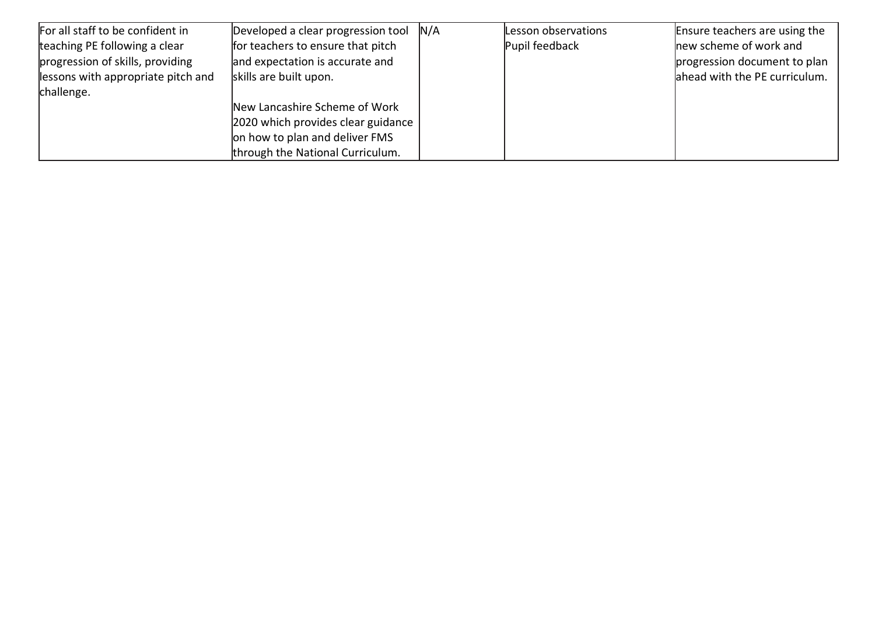| For all staff to be confident in   | Developed a clear progression tool $N/A$ | Lesson observations | Ensure teachers are using the |
|------------------------------------|------------------------------------------|---------------------|-------------------------------|
| teaching PE following a clear      | for teachers to ensure that pitch        | Pupil feedback      | new scheme of work and        |
| progression of skills, providing   | and expectation is accurate and          |                     | progression document to plan  |
| lessons with appropriate pitch and | skills are built upon.                   |                     | ahead with the PE curriculum. |
| challenge.                         |                                          |                     |                               |
|                                    | New Lancashire Scheme of Work            |                     |                               |
|                                    | 2020 which provides clear guidance       |                     |                               |
|                                    | on how to plan and deliver FMS           |                     |                               |
|                                    | through the National Curriculum.         |                     |                               |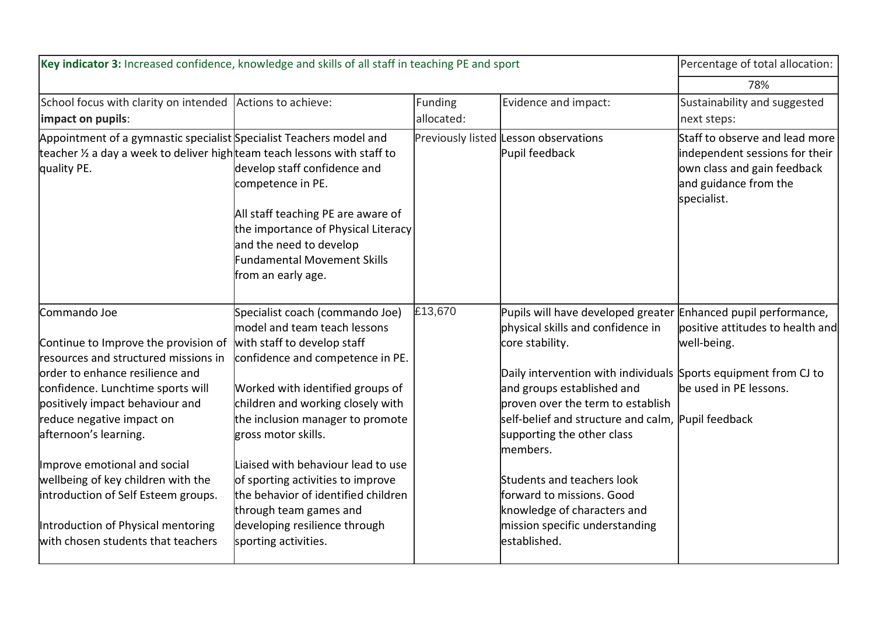| Key indicator 3: Increased confidence, knowledge and skills of all staff in teaching PE and sport                                                                                                                                                                                                                                                                                                                                                       | Percentage of total allocation:                                                                                                                                                                                                                                                                                                                                                                                                                                             |                       |                                                                                                                                                                                                                                                                                                                                                                                                                                                                                                           |                                                                                                                                         |
|---------------------------------------------------------------------------------------------------------------------------------------------------------------------------------------------------------------------------------------------------------------------------------------------------------------------------------------------------------------------------------------------------------------------------------------------------------|-----------------------------------------------------------------------------------------------------------------------------------------------------------------------------------------------------------------------------------------------------------------------------------------------------------------------------------------------------------------------------------------------------------------------------------------------------------------------------|-----------------------|-----------------------------------------------------------------------------------------------------------------------------------------------------------------------------------------------------------------------------------------------------------------------------------------------------------------------------------------------------------------------------------------------------------------------------------------------------------------------------------------------------------|-----------------------------------------------------------------------------------------------------------------------------------------|
|                                                                                                                                                                                                                                                                                                                                                                                                                                                         |                                                                                                                                                                                                                                                                                                                                                                                                                                                                             |                       |                                                                                                                                                                                                                                                                                                                                                                                                                                                                                                           | 78%                                                                                                                                     |
| School focus with clarity on intended Actions to achieve:<br>impact on pupils:                                                                                                                                                                                                                                                                                                                                                                          |                                                                                                                                                                                                                                                                                                                                                                                                                                                                             | Funding<br>allocated: | Evidence and impact:                                                                                                                                                                                                                                                                                                                                                                                                                                                                                      | Sustainability and suggested<br>next steps:                                                                                             |
| Appointment of a gymnastic specialist Specialist Teachers model and<br>teacher ½ a day a week to deliver high team teach lessons with staff to<br>quality PE.                                                                                                                                                                                                                                                                                           | develop staff confidence and<br>competence in PE.<br>All staff teaching PE are aware of<br>the importance of Physical Literacy<br>and the need to develop<br><b>Fundamental Movement Skills</b><br>from an early age.                                                                                                                                                                                                                                                       |                       | Previously listed Lesson observations<br>Pupil feedback                                                                                                                                                                                                                                                                                                                                                                                                                                                   | Staff to observe and lead more<br>independent sessions for their<br>own class and gain feedback<br>and guidance from the<br>specialist. |
| Commando Joe<br>Continue to Improve the provision of<br>resources and structured missions in<br>lorder to enhance resilience and<br>confidence. Lunchtime sports will<br>positively impact behaviour and<br>reduce negative impact on<br>afternoon's learning.<br>Improve emotional and social<br>wellbeing of key children with the<br>introduction of Self Esteem groups.<br>Introduction of Physical mentoring<br>with chosen students that teachers | Specialist coach (commando Joe)<br>model and team teach lessons<br>with staff to develop staff<br>confidence and competence in PE.<br>Worked with identified groups of<br>children and working closely with<br>the inclusion manager to promote<br>gross motor skills.<br>Liaised with behaviour lead to use<br>of sporting activities to improve<br>the behavior of identified children<br>through team games and<br>developing resilience through<br>sporting activities. | £13,670               | Pupils will have developed greater Enhanced pupil performance,<br>physical skills and confidence in<br>core stability.<br>Daily intervention with individuals Sports equipment from CJ to<br>and groups established and<br>proven over the term to establish<br>self-belief and structure and calm, Pupil feedback<br>supporting the other class<br>members.<br>Students and teachers look<br>forward to missions. Good<br>knowledge of characters and<br>mission specific understanding<br>lestablished. | positive attitudes to health and<br>well-being.<br>be used in PE lessons.                                                               |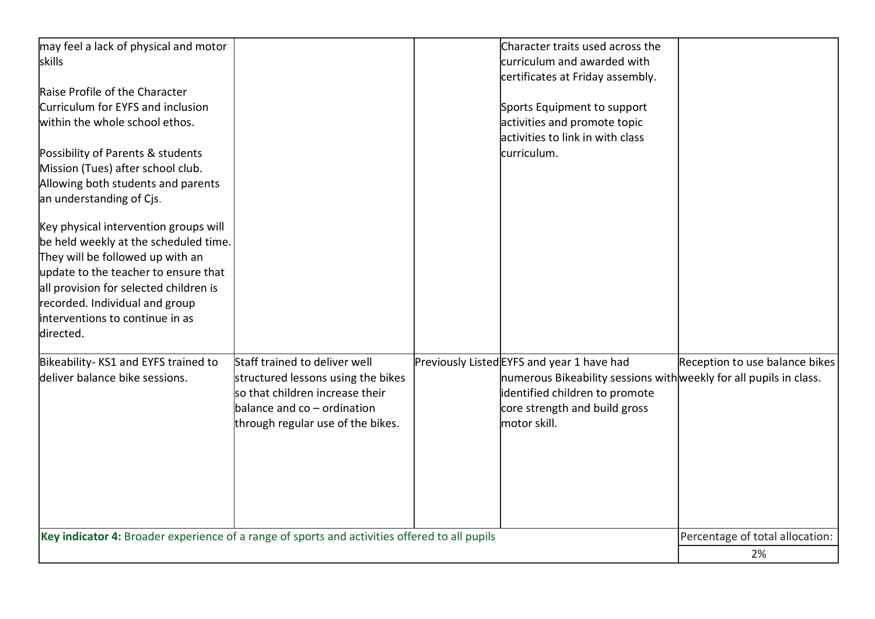| may feel a lack of physical and motor                                                         |                                    | Character traits used across the                                   |                                 |
|-----------------------------------------------------------------------------------------------|------------------------------------|--------------------------------------------------------------------|---------------------------------|
| skills                                                                                        |                                    | curriculum and awarded with                                        |                                 |
|                                                                                               |                                    | certificates at Friday assembly.                                   |                                 |
| Raise Profile of the Character                                                                |                                    |                                                                    |                                 |
| Curriculum for EYFS and inclusion                                                             |                                    | Sports Equipment to support                                        |                                 |
| within the whole school ethos.                                                                |                                    | activities and promote topic                                       |                                 |
|                                                                                               |                                    | activities to link in with class                                   |                                 |
| Possibility of Parents & students                                                             |                                    | curriculum.                                                        |                                 |
| Mission (Tues) after school club.                                                             |                                    |                                                                    |                                 |
| Allowing both students and parents                                                            |                                    |                                                                    |                                 |
| an understanding of Cjs.                                                                      |                                    |                                                                    |                                 |
|                                                                                               |                                    |                                                                    |                                 |
| Key physical intervention groups will                                                         |                                    |                                                                    |                                 |
| be held weekly at the scheduled time.                                                         |                                    |                                                                    |                                 |
| They will be followed up with an                                                              |                                    |                                                                    |                                 |
| update to the teacher to ensure that                                                          |                                    |                                                                    |                                 |
| all provision for selected children is                                                        |                                    |                                                                    |                                 |
| recorded. Individual and group                                                                |                                    |                                                                    |                                 |
| interventions to continue in as                                                               |                                    |                                                                    |                                 |
| directed.                                                                                     |                                    |                                                                    |                                 |
|                                                                                               |                                    |                                                                    |                                 |
| Bikeability-KS1 and EYFS trained to                                                           | Staff trained to deliver well      | Previously Listed EYFS and year 1 have had                         | Reception to use balance bikes  |
| deliver balance bike sessions.                                                                | structured lessons using the bikes | numerous Bikeability sessions with weekly for all pupils in class. |                                 |
|                                                                                               | so that children increase their    | identified children to promote                                     |                                 |
|                                                                                               | balance and co - ordination        | core strength and build gross                                      |                                 |
|                                                                                               | through regular use of the bikes.  | motor skill.                                                       |                                 |
|                                                                                               |                                    |                                                                    |                                 |
|                                                                                               |                                    |                                                                    |                                 |
|                                                                                               |                                    |                                                                    |                                 |
|                                                                                               |                                    |                                                                    |                                 |
|                                                                                               |                                    |                                                                    |                                 |
|                                                                                               |                                    |                                                                    |                                 |
|                                                                                               |                                    |                                                                    |                                 |
| Key indicator 4: Broader experience of a range of sports and activities offered to all pupils |                                    |                                                                    | Percentage of total allocation: |
|                                                                                               |                                    |                                                                    | 2%                              |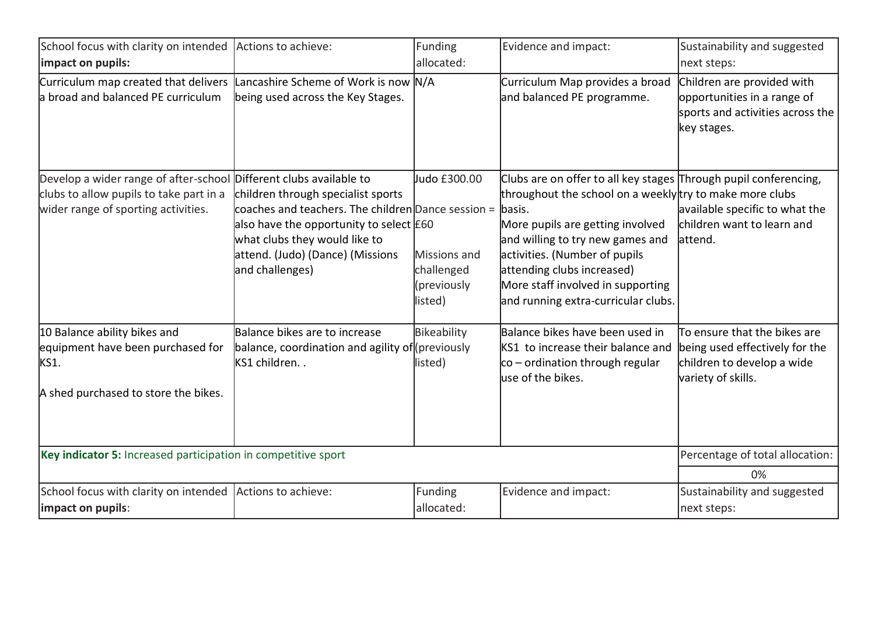| School focus with clarity on intended Actions to achieve:                                                                                            |                                                                                                                                                                                                                                       | Funding                                                              | Evidence and impact:                                                                                                                                                                                                                                                                                                                            | Sustainability and suggested                                                                                       |
|------------------------------------------------------------------------------------------------------------------------------------------------------|---------------------------------------------------------------------------------------------------------------------------------------------------------------------------------------------------------------------------------------|----------------------------------------------------------------------|-------------------------------------------------------------------------------------------------------------------------------------------------------------------------------------------------------------------------------------------------------------------------------------------------------------------------------------------------|--------------------------------------------------------------------------------------------------------------------|
| impact on pupils:                                                                                                                                    |                                                                                                                                                                                                                                       | allocated:                                                           |                                                                                                                                                                                                                                                                                                                                                 | next steps:                                                                                                        |
| Curriculum map created that delivers Lancashire Scheme of Work is now N/A<br>a broad and balanced PE curriculum                                      | being used across the Key Stages.                                                                                                                                                                                                     |                                                                      | Curriculum Map provides a broad<br>and balanced PE programme.                                                                                                                                                                                                                                                                                   | Children are provided with<br>opportunities in a range of<br>sports and activities across the<br>key stages.       |
| Develop a wider range of after-school Different clubs available to<br>clubs to allow pupils to take part in a<br>wider range of sporting activities. | children through specialist sports<br>coaches and teachers. The children Dance session =  basis.<br>also have the opportunity to select $E60$<br>what clubs they would like to<br>attend. (Judo) (Dance) (Missions<br>and challenges) | ludo £300.00<br>Missions and<br>challenged<br>(previously<br>listed) | Clubs are on offer to all key stages Through pupil conferencing,<br>throughout the school on a weekly try to make more clubs<br>More pupils are getting involved<br>and willing to try new games and<br>activities. (Number of pupils<br>attending clubs increased)<br>More staff involved in supporting<br>and running extra-curricular clubs. | available specific to what the<br>children want to learn and<br>attend.                                            |
| 10 Balance ability bikes and<br>equipment have been purchased for<br>KS1.<br>A shed purchased to store the bikes.                                    | Balance bikes are to increase<br>balance, coordination and agility of (previously<br>kS1 children. .                                                                                                                                  | Bikeability<br>listed)                                               | Balance bikes have been used in<br>KS1 to increase their balance and<br>co – ordination through regular<br>luse of the bikes.                                                                                                                                                                                                                   | To ensure that the bikes are<br>being used effectively for the<br>children to develop a wide<br>variety of skills. |
| Key indicator 5: Increased participation in competitive sport                                                                                        |                                                                                                                                                                                                                                       |                                                                      |                                                                                                                                                                                                                                                                                                                                                 | Percentage of total allocation:                                                                                    |
|                                                                                                                                                      |                                                                                                                                                                                                                                       |                                                                      |                                                                                                                                                                                                                                                                                                                                                 | 0%                                                                                                                 |
| School focus with clarity on intended Actions to achieve:<br>impact on pupils:                                                                       |                                                                                                                                                                                                                                       | Funding<br>allocated:                                                | Evidence and impact:                                                                                                                                                                                                                                                                                                                            | Sustainability and suggested<br>next steps:                                                                        |